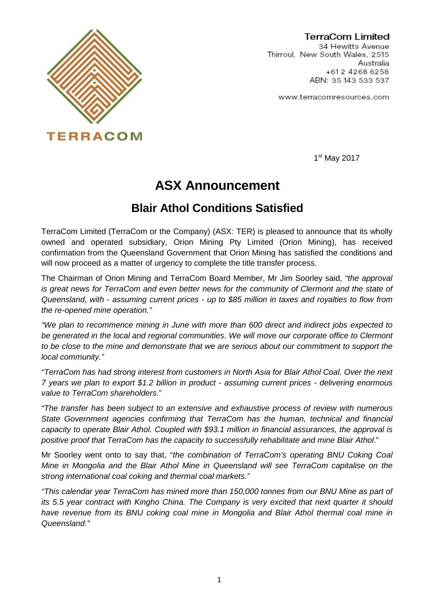

TerraCom Limited 34 Hewitts Avenue Thirroul, New South Wales, 2515 Australia +612 4268 6258 ABN: 35 143 533 537

www.terracomresources.com

1<sup>st</sup> May 2017

# **ASX Announcement**

### **Blair Athol Conditions Satisfied**

TerraCom Limited (TerraCom or the Company) (ASX: TER) is pleased to announce that its wholly owned and operated subsidiary, Orion Mining Pty Limited (Orion Mining), has received confirmation from the Queensland Government that Orion Mining has satisfied the conditions and will now proceed as a matter of urgency to complete the title transfer process.

The Chairman of Orion Mining and TerraCom Board Member, Mr Jim Soorley said, *"the approval is great news for TerraCom and even better news for the community of Clermont and the state of Queensland, with - assuming current prices - up to \$85 million in taxes and royalties to flow from the re-opened mine operation."*

*"We plan to recommence mining in June with more than 600 direct and indirect jobs expected to be generated in the local and regional communities. We will move our corporate office to Clermont to be close to the mine and demonstrate that we are serious about our commitment to support the local community."*

*"TerraCom has had strong interest from customers in North Asia for Blair Athol Coal. Over the next 7 years we plan to export \$1.2 billion in product - assuming current prices - delivering enormous value to TerraCom shareholders*."

*"The transfer has been subject to an extensive and exhaustive process of review with numerous State Government agencies confirming that TerraCom has the human, technical and financial capacity to operate Blair Athol. Coupled with \$93.1 million in financial assurances, the approval is positive proof that TerraCom has the capacity to successfully rehabilitate and mine Blair Athol*."

Mr Soorley went onto to say that, "*the combination of TerraCom's operating BNU Coking Coal Mine in Mongolia and the Blair Athol Mine in Queensland will see TerraCom capitalise on the strong international coal coking and thermal coal markets."*

*"This calendar year TerraCom has mined more than 150,000 tonnes from our BNU Mine as part of its 5.5 year contract with Kingho China. The Company is very excited that next quarter it should have revenue from its BNU coking coal mine in Mongolia and Blair Athol thermal coal mine in Queensland."*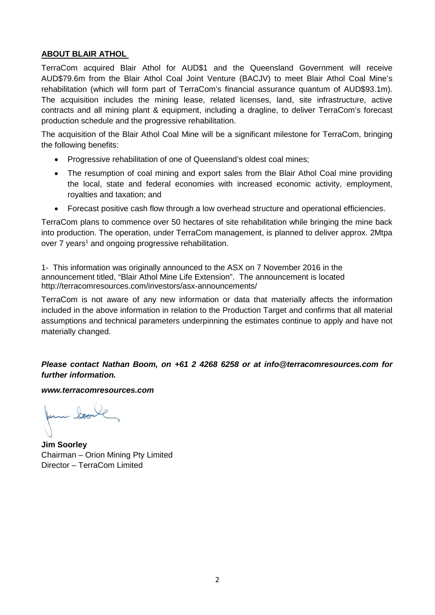### **ABOUT BLAIR ATHOL**

TerraCom acquired Blair Athol for AUD\$1 and the Queensland Government will receive AUD\$79.6m from the Blair Athol Coal Joint Venture (BACJV) to meet Blair Athol Coal Mine's rehabilitation (which will form part of TerraCom's financial assurance quantum of AUD\$93.1m). The acquisition includes the mining lease, related licenses, land, site infrastructure, active contracts and all mining plant & equipment, including a dragline, to deliver TerraCom's forecast production schedule and the progressive rehabilitation.

The acquisition of the Blair Athol Coal Mine will be a significant milestone for TerraCom, bringing the following benefits:

- Progressive rehabilitation of one of Queensland's oldest coal mines;
- The resumption of coal mining and export sales from the Blair Athol Coal mine providing the local, state and federal economies with increased economic activity, employment, royalties and taxation; and
- Forecast positive cash flow through a low overhead structure and operational efficiencies.

TerraCom plans to commence over 50 hectares of site rehabilitation while bringing the mine back into production. The operation, under TerraCom management, is planned to deliver approx. 2Mtpa over 7 years<sup>1</sup> and ongoing progressive rehabilitation.

1- This information was originally announced to the ASX on 7 November 2016 in the announcement titled, "Blair Athol Mine Life Extension". The announcement is located http://terracomresources.com/investors/asx-announcements/

TerraCom is not aware of any new information or data that materially affects the information included in the above information in relation to the Production Target and confirms that all material assumptions and technical parameters underpinning the estimates continue to apply and have not materially changed.

*Please contact Nathan Boom, on +61 2 4268 6258 or at info@terracomresources.com for further information.* 

*www.terracomresources.com*

- boon

**Jim Soorley**  Chairman – Orion Mining Pty Limited Director – TerraCom Limited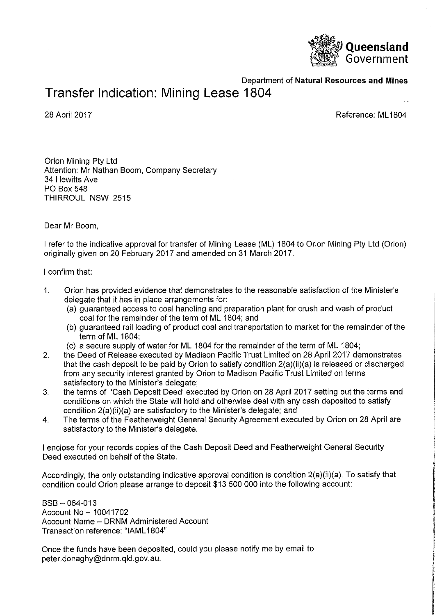

Department of Natural Resources and Mines

## Transfer Indication: Mining Lease 1804

28 April 2017

Reference: ML1804

Orion Mining Pty Ltd Attention: Mr Nathan Boom, Company Secretary 34 Hewitts Ave PO Box 548 THIRROUL NSW 2515

#### Dear Mr Boom,

I refer to the indicative approval for transfer of Mining Lease (ML) 1804 to Orion Mining Pty Ltd (Orion) originally given on 20 February 2017 and amended on 31 March 2017.

#### I confirm that:

- $\mathbf{1}$ . Orion has provided evidence that demonstrates to the reasonable satisfaction of the Minister's delegate that it has in place arrangements for:
	- (a) guaranteed access to coal handling and preparation plant for crush and wash of product coal for the remainder of the term of ML 1804; and
	- (b) guaranteed rail loading of product coal and transportation to market for the remainder of the term of ML 1804:
	- (c) a secure supply of water for ML 1804 for the remainder of the term of ML 1804;
- $2.$ the Deed of Release executed by Madison Pacific Trust Limited on 28 April 2017 demonstrates that the cash deposit to be paid by Orion to satisfy condition 2(a)(ii)(a) is released or discharged from any security interest granted by Orion to Madison Pacific Trust Limited on terms satisfactory to the Minister's delegate;
- $3.$ the terms of 'Cash Deposit Deed' executed by Orion on 28 April 2017 setting out the terms and conditions on which the State will hold and otherwise deal with any cash deposited to satisfy condition 2(a)(ii)(a) are satisfactory to the Minister's delegate; and
- The terms of the Featherweight General Security Agreement executed by Orion on 28 April are 4. satisfactory to the Minister's delegate.

I enclose for your records copies of the Cash Deposit Deed and Featherweight General Security Deed executed on behalf of the State.

Accordingly, the only outstanding indicative approval condition is condition 2(a)(ii)(a). To satisfy that condition could Orion please arrange to deposit \$13 500 000 into the following account:

 $BSB - 064 - 013$ Account No - 10041702 Account Name - DRNM Administered Account Transaction reference: "IAML1804"

Once the funds have been deposited, could you please notify me by email to peter.donaghy@dnrm.gld.gov.au.